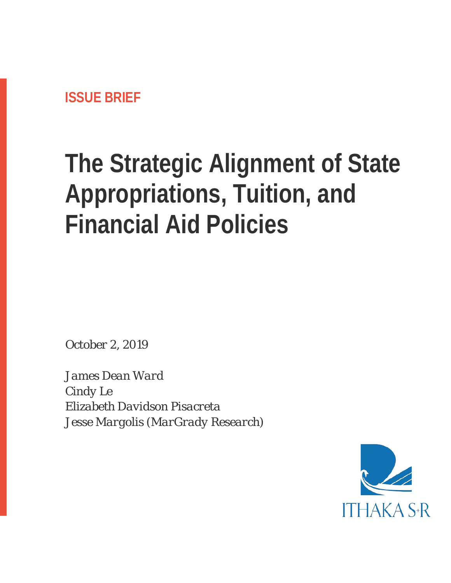# **The Strategic Alignment of State Appropriations, Tuition, and Financial Aid Policies**

*October 2, 2019*

*James Dean Ward Cindy Le Elizabeth Davidson Pisacreta Jesse Margolis (MarGrady Research)*

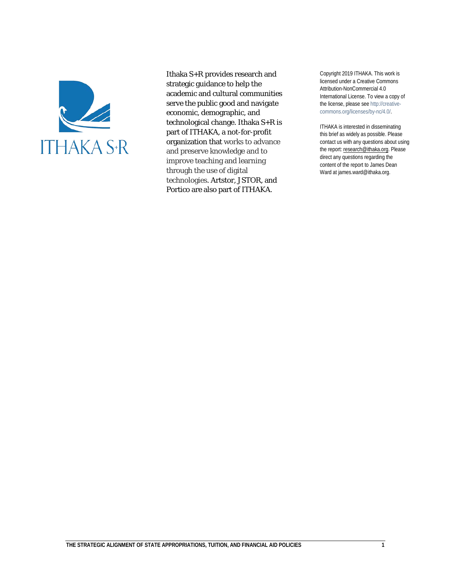

Ithaka S+R provides research and strategic guidance to help the academic and cultural communities serve the public good and navigate economic, demographic, and technological change. Ithaka S+R is part of ITHAKA, a not-for-profit organization that works to advance and preserve knowledge and to improve teaching and learning through the use of digital technologies. Artstor, JSTOR, and Portico are also part of ITHAKA.

Copyright 2019 ITHAKA. This work is licensed under a Creative Commons Attribution-NonCommercial 4.0 International License. To view a copy of the license, please see http://creativecommons.org/licenses/by-nc/4.0/.

ITHAKA is interested in disseminating this brief as widely as possible. Please contact us with any questions about using the report[: research@ithaka.org.](mailto:research@ithaka.org) Please direct any questions regarding the content of the report to James Dean Ward at james.ward@ithaka.org.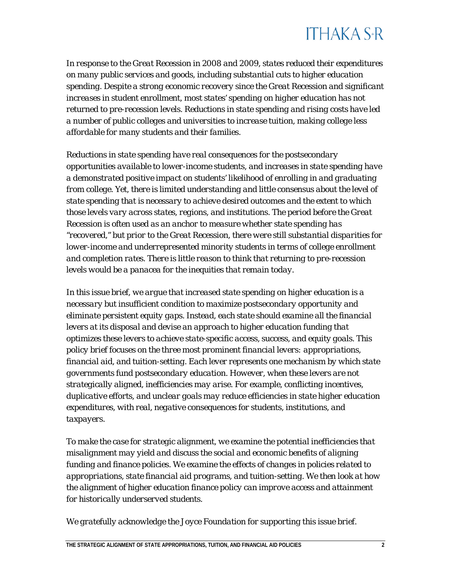

*In response to the Great Recession in 2008 and 2009, states reduced their expenditures on many public services and goods, including substantial cuts to higher education spending. Despite a strong economic recovery since the Great Recession and significant increases in student enrollment, most states' spending on higher education has not returned to pre-recession levels. Reductions in state spending and rising costs have led a number of public colleges and universities to increase tuition, making college less affordable for many students and their families.*

*Reductions in state spending have real consequences for the postsecondary opportunities available to lower-income students, and increases in state spending have a demonstrated positive impact on students' likelihood of enrolling in and graduating from college. Yet, there is limited understanding and little consensus about the level of state spending that is necessary to achieve desired outcomes and the extent to which those levels vary across states, regions, and institutions. The period before the Great Recession is often used as an anchor to measure whether state spending has "recovered," but prior to the Great Recession, there were still substantial disparities for lower-income and underrepresented minority students in terms of college enrollment and completion rates. There is little reason to think that returning to pre-recession levels would be a panacea for the inequities that remain today.* 

*In this issue brief, we argue that increased state spending on higher education is a necessary but insufficient condition to maximize postsecondary opportunity and eliminate persistent equity gaps. Instead, each state should examine all the financial levers at its disposal and devise an approach to higher education funding that optimizes these levers to achieve state-specific access, success, and equity goals. This policy brief focuses on the three most prominent financial levers: appropriations, financial aid, and tuition-setting. Each lever represents one mechanism by which state governments fund postsecondary education. However, when these levers are not strategically aligned, inefficiencies may arise. For example, conflicting incentives, duplicative efforts, and unclear goals may reduce efficiencies in state higher education expenditures, with real, negative consequences for students, institutions, and taxpayers.* 

*To make the case for strategic alignment, we examine the potential inefficiencies that misalignment may yield and discuss the social and economic benefits of aligning funding and finance policies. We examine the effects of changes in policies related to appropriations, state financial aid programs, and tuition-setting. We then look at how the alignment of higher education finance policy can improve access and attainment for historically underserved students.*

*We gratefully acknowledge the Joyce Foundation for supporting this issue brief.*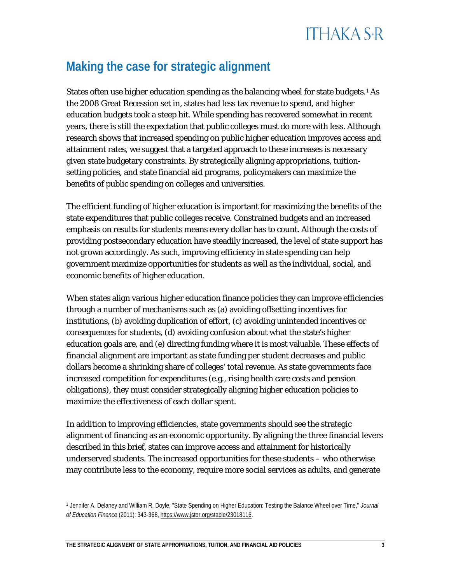#### **Making the case for strategic alignment**

States often use higher education spending as the balancing wheel for state budgets.<sup>[1](#page-3-0)</sup> As the 2008 Great Recession set in, states had less tax revenue to spend, and higher education budgets took a steep hit. While spending has recovered somewhat in recent years, there is still the expectation that public colleges must do more with less. Although research shows that increased spending on public higher education improves access and attainment rates, we suggest that a targeted approach to these increases is necessary given state budgetary constraints. By strategically aligning appropriations, tuitionsetting policies, and state financial aid programs, policymakers can maximize the benefits of public spending on colleges and universities.

The efficient funding of higher education is important for maximizing the benefits of the state expenditures that public colleges receive. Constrained budgets and an increased emphasis on results for students means every dollar has to count. Although the costs of providing postsecondary education have steadily increased, the level of state support has not grown accordingly. As such, improving efficiency in state spending can help government maximize opportunities for students as well as the individual, social, and economic benefits of higher education.

When states align various higher education finance policies they can improve efficiencies through a number of mechanisms such as (a) avoiding offsetting incentives for institutions, (b) avoiding duplication of effort, (c) avoiding unintended incentives or consequences for students, (d) avoiding confusion about what the state's higher education goals are, and (e) directing funding where it is most valuable. These effects of financial alignment are important as state funding per student decreases and public dollars become a shrinking share of colleges' total revenue. As state governments face increased competition for expenditures (e.g., rising health care costs and pension obligations), they must consider strategically aligning higher education policies to maximize the effectiveness of each dollar spent.

In addition to improving efficiencies, state governments should see the strategic alignment of financing as an economic opportunity. By aligning the three financial levers described in this brief, states can improve access and attainment for historically underserved students. The increased opportunities for these students – who otherwise may contribute less to the economy, require more social services as adults, and generate

<span id="page-3-0"></span><sup>1</sup> Jennifer A. Delaney and William R. Doyle, "State Spending on Higher Education: Testing the Balance Wheel over Time," *Journal of Education Finance* (2011): 343-368[, https://www.jstor.org/stable/23018116.](https://www.jstor.org/stable/23018116)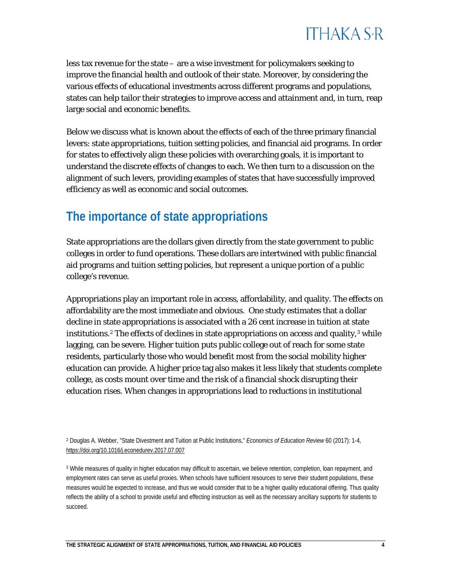

less tax revenue for the state – are a wise investment for policymakers seeking to improve the financial health and outlook of their state. Moreover, by considering the various effects of educational investments across different programs and populations, states can help tailor their strategies to improve access and attainment and, in turn, reap large social and economic benefits.

Below we discuss what is known about the effects of each of the three primary financial levers: state appropriations, tuition setting policies, and financial aid programs. In order for states to effectively align these policies with overarching goals, it is important to understand the discrete effects of changes to each. We then turn to a discussion on the alignment of such levers, providing examples of states that have successfully improved efficiency as well as economic and social outcomes.

#### **The importance of state appropriations**

State appropriations are the dollars given directly from the state government to public colleges in order to fund operations. These dollars are intertwined with public financial aid programs and tuition setting policies, but represent a unique portion of a public college's revenue.

Appropriations play an important role in access, affordability, and quality. The effects on affordability are the most immediate and obvious. One study estimates that a dollar decline in state appropriations is associated with a 26 cent increase in tuition at state institutions.<sup>[2](#page-4-0)</sup> The effects of declines in state appropriations on access and quality,<sup>[3](#page-4-1)</sup> while lagging, can be severe. Higher tuition puts public college out of reach for some state residents, particularly those who would benefit most from the social mobility higher education can provide. A higher price tag also makes it less likely that students complete college, as costs mount over time and the risk of a financial shock disrupting their education rises. When changes in appropriations lead to reductions in institutional

<span id="page-4-0"></span><sup>2</sup> Douglas A. Webber, "State Divestment and Tuition at Public Institutions," *Economics of Education Review* 60 (2017): 1-4, <https://doi.org/10.1016/j.econedurev.2017.07.007>

<span id="page-4-1"></span><sup>3</sup> While measures of quality in higher education may difficult to ascertain, we believe retention, completion, loan repayment, and employment rates can serve as useful proxies. When schools have sufficient resources to serve their student populations, these measures would be expected to increase, and thus we would consider that to be a higher quality educational offering. Thus quality reflects the ability of a school to provide useful and effecting instruction as well as the necessary ancillary supports for students to succeed.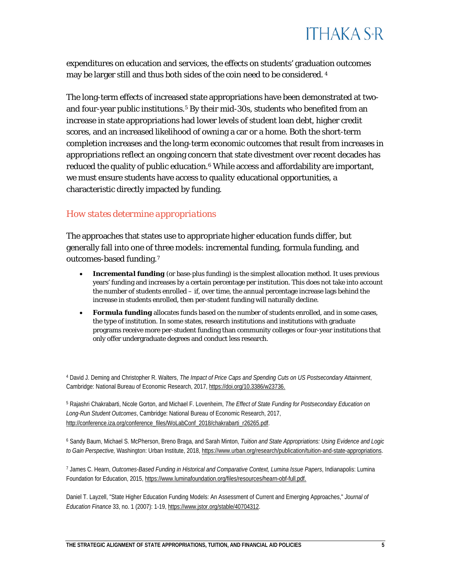

expenditures on education and services, the effects on students' graduation outcomes may be larger still and thus both sides of the coin need to be considered. [4](#page-5-0)

The long-term effects of increased state appropriations have been demonstrated at two-and four-year public institutions.<sup>[5](#page-5-1)</sup> By their mid-30s, students who benefited from an increase in state appropriations had lower levels of student loan debt, higher credit scores, and an increased likelihood of owning a car or a home. Both the short-term completion increases and the long-term economic outcomes that result from increases in appropriations reflect an ongoing concern that state divestment over recent decades has reduced the quality of public education.<sup>[6](#page-5-2)</sup> While access and affordability are important, we must ensure students have access to *quality* educational opportunities, a characteristic directly impacted by funding.

#### *How states determine appropriations*

The approaches that states use to appropriate higher education funds differ, but generally fall into one of three models: incremental funding, formula funding, and outcomes-based funding.[7](#page-5-3)

- **Incremental funding** (or base-plus funding) is the simplest allocation method. It uses previous years' funding and increases by a certain percentage per institution. This does not take into account the number of students enrolled – if, over time, the annual percentage increase lags behind the increase in students enrolled, then per-student funding will naturally decline.
- **Formula funding** allocates funds based on the number of students enrolled, and in some cases, the type of institution. In some states, research institutions and institutions with graduate programs receive more per-student funding than community colleges or four-year institutions that only offer undergraduate degrees and conduct less research.

<span id="page-5-0"></span><sup>4</sup> David J. Deming and Christopher R. Walters, *The Impact of Price Caps and Spending Cuts on US Postsecondary Attainment*, Cambridge: National Bureau of Economic Research, 2017, [https://doi.org/10.3386/w23736.](https://doi.org/10.3386/w23736)

<span id="page-5-1"></span><sup>5</sup> Rajashri Chakrabarti, Nicole Gorton, and Michael F. Lovenheim, *The Effect of State Funding for Postsecondary Education on Long-Run Student Outcomes*, Cambridge: National Bureau of Economic Research, 2017, [http://conference.iza.org/conference\\_files/WoLabConf\\_2018/chakrabarti\\_r26265.pdf.](http://conference.iza.org/conference_files/WoLabConf_2018/chakrabarti_r26265.pdf)

<span id="page-5-2"></span><sup>6</sup> Sandy Baum, Michael S. McPherson, Breno Braga, and Sarah Minton, *Tuition and State Appropriations: Using Evidence and Logic to Gain Perspective,* Washington: Urban Institute, 2018[, https://www.urban.org/research/publication/tuition-and-state-appropriations.](https://www.urban.org/research/publication/tuition-and-state-appropriations)

<span id="page-5-3"></span><sup>7</sup> James C. Hearn, *Outcomes-Based Funding in Historical and Comparative Context, Lumina Issue Papers*, Indianapolis: Lumina Foundation for Education, 2015, [https://www.luminafoundation.org/files/resources/hearn-obf-full.pdf.](https://www.luminafoundation.org/files/resources/hearn-obf-full.pdf)

Daniel T. Layzell, "State Higher Education Funding Models: An Assessment of Current and Emerging Approaches," *Journal of Education Finance* 33, no. 1 (2007): 1-19[, https://www.jstor.org/stable/40704312.](https://www.jstor.org/stable/40704312)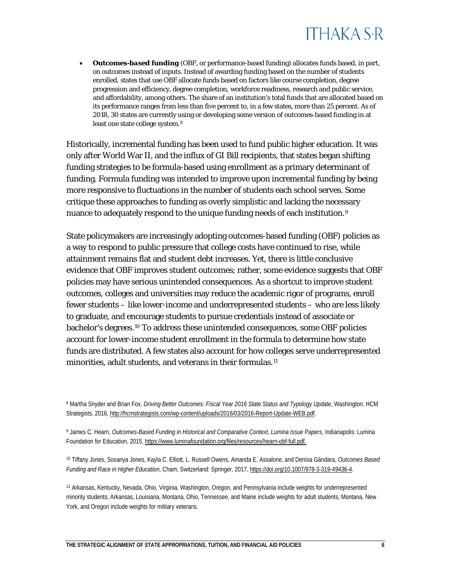

• *Outcomes-based funding* (OBF, or performance-based funding) allocates funds based, in part, on outcomes instead of inputs. Instead of awarding funding based on the number of students enrolled, states that use OBF allocate funds based on factors like course completion, degree progression and efficiency, degree completion, workforce readiness, research and public service, and affordability, among others. The share of an institution's total funds that are allocated based on its performance ranges from less than five percent to, in a few states, more than 25 percent. As of 2018, 30 states are currently using or developing some version of outcomes-based funding in at least one state college system.[8](#page-6-0)

Historically, incremental funding has been used to fund public higher education. It was only after World War II, and the influx of GI Bill recipients, that states began shifting funding strategies to be formula-based using enrollment as a primary determinant of funding. Formula funding was intended to improve upon incremental funding by being more responsive to fluctuations in the number of students each school serves. Some critique these approaches to funding as overly simplistic and lacking the necessary nuance to adequately respond to the unique funding needs of each institution.<sup>[9](#page-6-1)</sup>

State policymakers are increasingly adopting outcomes-based funding (OBF) policies as a way to respond to public pressure that college costs have continued to rise, while attainment remains flat and student debt increases. Yet, there is little conclusive evidence that OBF improves student outcomes; rather, some evidence suggests that OBF policies may have serious unintended consequences. As a shortcut to improve student outcomes, colleges and universities may reduce the academic rigor of programs, enroll fewer students – like lower-income and underrepresented students – who are less likely to graduate, and encourage students to pursue credentials instead of associate or bachelor's degrees.[10](#page-6-2) To address these unintended consequences, some OBF policies account for lower-income student enrollment in the formula to determine how state funds are distributed. A few states also account for how colleges serve underrepresented minorities, adult students, and veterans in their formulas.<sup>[11](#page-6-3)</sup>

<span id="page-6-0"></span><sup>8</sup> Martha Snyder and Brian Fox, *Driving Better Outcomes: Fiscal Year 2016 State Status and Typology Update*, Washington: HCM Strategists, 2016[, http://hcmstrategists.com/wp-content/uploads/2016/03/2016-Report-Update-WEB.pdf.](http://hcmstrategists.com/wp-content/uploads/2016/03/2016-Report-Update-WEB.pdf)

<span id="page-6-1"></span><sup>9</sup> James C. Hearn, *Outcomes-Based Funding in Historical and Comparative Context, Lumina Issue Papers*, Indianapolis: Lumina Foundation for Education, 2015, [https://www.luminafoundation.org/files/resources/hearn-obf-full.pdf.](https://www.luminafoundation.org/files/resources/hearn-obf-full.pdf)

<span id="page-6-2"></span><sup>10</sup> Tiffany Jones, Sosanya Jones, Kayla C. Elliott, L. Russell Owens, Amanda E. Assalone, and Denisa Gándara, *Outcomes Based Funding and Race in Higher Education,* Cham, Switzerland: Springer, 2017[, https://doi.org/10.1007/978-3-319-49436-4.](https://doi.org/10.1007/978-3-319-49436-4)

<span id="page-6-3"></span><sup>11</sup> Arkansas, Kentucky, Nevada, Ohio, Virginia, Washington, Oregon, and Pennsylvania include weights for underrepresented minority students; Arkansas, Louisiana, Montana, Ohio, Tennessee, and Maine include weights for adult students; Montana, New York, and Oregon include weights for military veterans.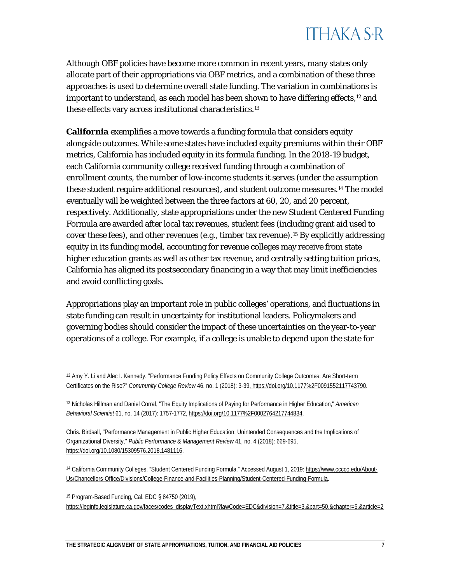Although OBF policies have become more common in recent years, many states only allocate part of their appropriations via OBF metrics, and a combination of these three approaches is used to determine overall state funding. The variation in combinations is important to understand, as each model has been shown to have differing effects,  $12$  and these effects vary across institutional characteristics.[13](#page-7-1)

**California** exemplifies a move towards a funding formula that considers equity alongside outcomes. While some states have included equity premiums within their OBF metrics, California has included equity in its formula funding. In the 2018-19 budget, each California community college received funding through a combination of enrollment counts, the number of low-income students it serves (under the assumption these student require additional resources), and student outcome measures.[14](#page-7-2) The model eventually will be weighted between the three factors at 60, 20, and 20 percent, respectively. Additionally, state appropriations under the new Student Centered Funding Formula are awarded after local tax revenues, student fees (including grant aid used to cover these fees), and other revenues (e.g., timber tax revenue)[.15](#page-7-3) By explicitly addressing equity in its funding model, accounting for revenue colleges may receive from state higher education grants as well as other tax revenue, and centrally setting tuition prices, California has aligned its postsecondary financing in a way that may limit inefficiencies and avoid conflicting goals.

Appropriations play an important role in public colleges' operations, and fluctuations in state funding can result in uncertainty for institutional leaders. Policymakers and governing bodies should consider the impact of these uncertainties on the year-to-year operations of a college. For example, if a college is unable to depend upon the state for

Chris. Birdsall, "Performance Management in Public Higher Education: Unintended Consequences and the Implications of Organizational Diversity," *Public Performance & Management Review* 41, no. 4 (2018): 669-695, [https://doi.org/10.1080/15309576.2018.1481116.](https://doi.org/10.1080/15309576.2018.1481116)

<span id="page-7-2"></span><sup>14</sup> California Community Colleges. "Student Centered Funding Formula." Accessed August 1, 2019[: https://www.cccco.edu/About-](https://www.cccco.edu/About-Us/Chancellors-Office/Divisions/College-Finance-and-Facilities-Planning/Student-Centered-Funding-Formula)[Us/Chancellors-Office/Divisions/College-Finance-and-Facilities-Planning/Student-Centered-Funding-Formula.](https://www.cccco.edu/About-Us/Chancellors-Office/Divisions/College-Finance-and-Facilities-Planning/Student-Centered-Funding-Formula)

<span id="page-7-3"></span><sup>15</sup> Program-Based Funding, Cal. EDC § 84750 (2019), [https://leginfo.legislature.ca.gov/faces/codes\\_displayText.xhtml?lawCode=EDC&division=7.&title=3.&part=50.&chapter=5.&article=2](https://leginfo.legislature.ca.gov/faces/codes_displayText.xhtml?lawCode=EDC&division=7.&title=3.&part=50.&chapter=5.&article=2)

<span id="page-7-0"></span><sup>12</sup> Amy Y. Li and Alec I. Kennedy, "Performance Funding Policy Effects on Community College Outcomes: Are Short-term Certificates on the Rise?" *Community College Review* 46, no. 1 (2018): 3-39, [https://doi.org/10.1177%2F0091552117743790.](https://doi.org/10.1177%2F0091552117743790)

<span id="page-7-1"></span><sup>13</sup> Nicholas Hillman and Daniel Corral, "The Equity Implications of Paying for Performance in Higher Education," *American Behavioral Scientist* 61, no. 14 (2017): 1757-1772[, https://doi.org/10.1177%2F0002764217744834.](https://doi.org/10.1177%2F0002764217744834)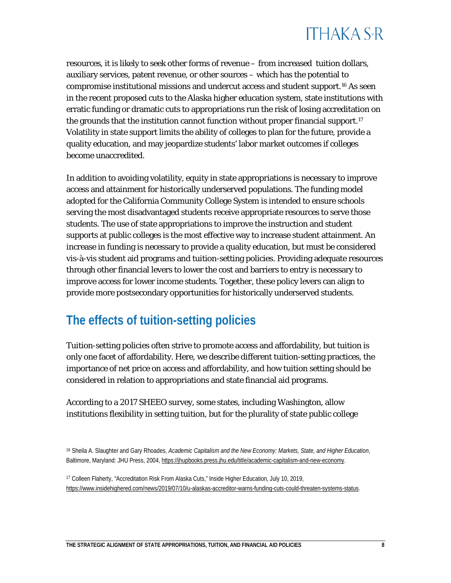resources, it is likely to seek other forms of revenue – from increased tuition dollars, auxiliary services, patent revenue, or other sources – which has the potential to compromise institutional missions and undercut access and student support.[16](#page-8-0) As seen in the recent proposed cuts to the Alaska higher education system, state institutions with erratic funding or dramatic cuts to appropriations run the risk of losing accreditation on the grounds that the institution cannot function without proper financial support.<sup>[17](#page-8-1)</sup> Volatility in state support limits the ability of colleges to plan for the future, provide a quality education, and may jeopardize students' labor market outcomes if colleges become unaccredited.

In addition to avoiding volatility, equity in state appropriations is necessary to improve access and attainment for historically underserved populations. The funding model adopted for the California Community College System is intended to ensure schools serving the most disadvantaged students receive appropriate resources to serve those students. The use of state appropriations to improve the instruction and student supports at public colleges is the most effective way to increase student attainment. An increase in funding is necessary to provide a quality education, but must be considered vis-à-vis student aid programs and tuition-setting policies. Providing adequate resources through other financial levers to lower the cost and barriers to entry is necessary to improve access for lower income students. Together, these policy levers can align to provide more postsecondary opportunities for historically underserved students.

#### **The effects of tuition-setting policies**

Tuition-setting policies often strive to promote access and affordability, but tuition is only one facet of affordability. Here, we describe different tuition-setting practices, the importance of net price on access and affordability, and how tuition setting should be considered in relation to appropriations and state financial aid programs.

According to a 2017 SHEEO survey, some states, including Washington, allow institutions flexibility in setting tuition, but for the plurality of state public college

<span id="page-8-0"></span><sup>16</sup> Sheila A. Slaughter and Gary Rhoades, *Academic Capitalism and the New Economy: Markets, State, and Higher Education*, Baltimore, Maryland: JHU Press, 2004[, https://jhupbooks.press.jhu.edu/title/academic-capitalism-and-new-economy.](https://jhupbooks.press.jhu.edu/title/academic-capitalism-and-new-economy)

<span id="page-8-1"></span><sup>17</sup> Colleen Flaherty, "Accreditation Risk From Alaska Cuts," Inside Higher Education, July 10, 2019, [https://www.insidehighered.com/news/2019/07/10/u-alaskas-accreditor-warns-funding-cuts-could-threaten-systems-status.](https://www.insidehighered.com/news/2019/07/10/u-alaskas-accreditor-warns-funding-cuts-could-threaten-systems-status)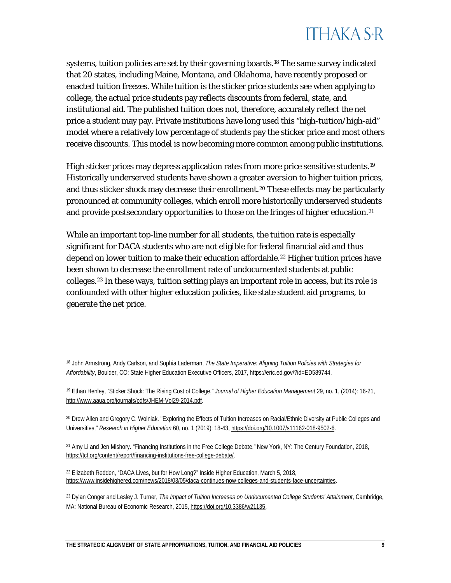systems, tuition policies are set by their governing boards.<sup>[18](#page-9-0)</sup> The same survey indicated that 20 states, including Maine, Montana, and Oklahoma, have recently proposed or enacted tuition freezes. While tuition is the sticker price students see when applying to college, the actual price students pay reflects discounts from federal, state, and institutional aid. The published tuition does not, therefore, accurately reflect the net price a student may pay. Private institutions have long used this "high-tuition/high-aid" model where a relatively low percentage of students pay the sticker price and most others receive discounts. This model is now becoming more common among public institutions.

High sticker prices may depress application rates from more price sensitive students.<sup>[19](#page-9-1)</sup> Historically underserved students have shown a greater aversion to higher tuition prices, and thus sticker shock may decrease their enrollment.<sup>[20](#page-9-2)</sup> These effects may be particularly pronounced at community colleges, which enroll more historically underserved students and provide postsecondary opportunities to those on the fringes of higher education.<sup>[21](#page-9-3)</sup>

While an important top-line number for all students, the tuition rate is especially significant for DACA students who are not eligible for federal financial aid and thus depend on lower tuition to make their education affordable.<sup>[22](#page-9-4)</sup> Higher tuition prices have been shown to decrease the enrollment rate of undocumented students at public colleges.[23](#page-9-5) In these ways, tuition setting plays an important role in access, but its role is confounded with other higher education policies, like state student aid programs, to generate the net price.

<span id="page-9-0"></span><sup>18</sup> John Armstrong, Andy Carlson, and Sophia Laderman, *The State Imperative: Aligning Tuition Policies with Strategies for* 

*Affordability*, Boulder, CO: State Higher Education Executive Officers, 2017[, https://eric.ed.gov/?id=ED589744.](https://eric.ed.gov/?id=ED589744)

<span id="page-9-1"></span><sup>19</sup> Ethan Henley, "Sticker Shock: The Rising Cost of College," *Journal of Higher Education Management* 29, no. 1, (2014): 16-21, [http://www.aaua.org/journals/pdfs/JHEM-Vol29-2014.pdf.](http://www.aaua.org/journals/pdfs/JHEM-Vol29-2014.pdf)

<span id="page-9-2"></span><sup>20</sup> Drew Allen and Gregory C. Wolniak. "Exploring the Effects of Tuition Increases on Racial/Ethnic Diversity at Public Colleges and Universities," *Research in Higher Education* 60, no. 1 (2019): 18-43[, https://doi.org/10.1007/s11162-018-9502-6.](https://doi.org/10.1007/s11162-018-9502-6)

<span id="page-9-3"></span><sup>21</sup> Amy Li and Jen Mishory. "Financing Institutions in the Free College Debate," New York, NY: The Century Foundation, 2018, [https://tcf.org/content/report/financing-institutions-free-college-debate/.](https://tcf.org/content/report/financing-institutions-free-college-debate/)

<span id="page-9-4"></span><sup>22</sup> Elizabeth Redden, "DACA Lives, but for How Long?" Inside Higher Education, March 5, 2018, [https://www.insidehighered.com/news/2018/03/05/daca-continues-now-colleges-and-students-face-uncertainties.](https://www.insidehighered.com/news/2018/03/05/daca-continues-now-colleges-and-students-face-uncertainties)

<span id="page-9-5"></span><sup>23</sup> Dylan Conger and Lesley J. Turner, *The Impact of Tuition Increases on Undocumented College Students' Attainment*, Cambridge, MA: National Bureau of Economic Research, 2015, [https://doi.org/10.3386/w21135.](https://doi.org/10.3386/w21135)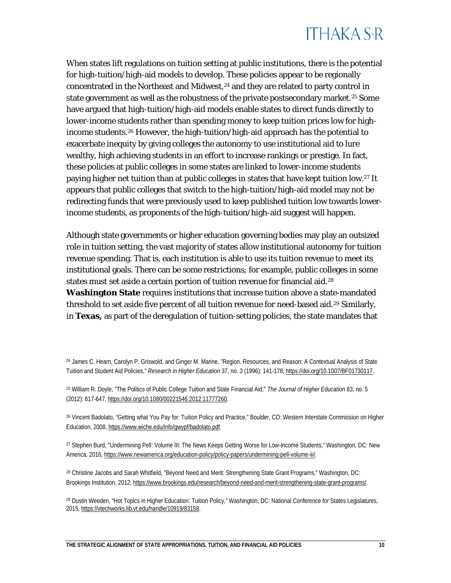When states lift regulations on tuition setting at public institutions, there is the potential for high-tuition/high-aid models to develop. These policies appear to be regionally concentrated in the Northeast and Midwest, $24$  and they are related to party control in state government as well as the robustness of the private postsecondary market.<sup>[25](#page-10-1)</sup> Some have argued that high-tuition/high-aid models enable states to direct funds directly to lower-income students rather than spending money to keep tuition prices low for highincome students.[26](#page-10-2) However, the high-tuition/high-aid approach has the potential to exacerbate inequity by giving colleges the autonomy to use institutional aid to lure wealthy, high achieving students in an effort to increase rankings or prestige. In fact, these policies at public colleges in some states are linked to lower-income students paying higher net tuition than at public colleges in states that have kept tuition low.[27](#page-10-3) It appears that public colleges that switch to the high-tuition/high-aid model may not be redirecting funds that were previously used to keep published tuition low towards lowerincome students, as proponents of the high-tuition/high-aid suggest will happen.

Although state governments or higher education governing bodies may play an outsized role in tuition setting, the vast majority of states allow institutional autonomy for tuition revenue spending. That is, each institution is able to use its tuition revenue to meet its institutional goals. There can be some restrictions; for example, public colleges in some states must set aside a certain portion of tuition revenue for financial aid.<sup>[28](#page-10-4)</sup> **Washington State** requires institutions that increase tuition above a state-mandated threshold to set aside five percent of all tuition revenue for need-based aid.<sup>[29](#page-10-5)</sup> Similarly, in **Texas,** as part of the deregulation of tuition-setting policies, the state mandates that

<span id="page-10-0"></span><sup>24</sup> James C. Hearn, Carolyn P. Griswold, and Ginger M. Marine, "Region, Resources, and Reason: A Contextual Analysis of State Tuition and Student Aid Policies," *Research in Higher Education* 37, no. 3 (1996): 141-178[, https://doi.org/10.1007/BF01730117.](https://doi.org/10.1007/BF01730117)

<span id="page-10-1"></span><sup>25</sup> William R. Doyle, "The Politics of Public College Tuition and State Financial Aid," *The Journal of Higher Education* 83, no. 5 (2012): 617-647[, https://doi.org/10.1080/00221546.2012.11777260.](https://doi.org/10.1080/00221546.2012.11777260)

<span id="page-10-2"></span><sup>26</sup> Vincent Badolato, "Getting what You Pay for: Tuition Policy and Practice," Boulder, CO: Western Interstate Commission on Higher Education, 2008[, https://www.wiche.edu/info/gwypf/badolato.pdf.](https://www.wiche.edu/info/gwypf/badolato.pdf)

<span id="page-10-3"></span><sup>&</sup>lt;sup>27</sup> Stephen Burd, "Undermining Pell: Volume III: The News Keeps Getting Worse for Low-Income Students," Washington, DC: New America*,* 2016[, https://www.newamerica.org/education-policy/policy-papers/undermining-pell-volume-iii/.](https://www.newamerica.org/education-policy/policy-papers/undermining-pell-volume-iii/)

<span id="page-10-4"></span><sup>28</sup> Christine Jacobs and Sarah Whitfield, "Beyond Need and Merit: Strengthening State Grant Programs," Washington, DC: Brookings Institution, 2012, [https://www.brookings.edu/research/beyond-need-and-merit-strengthening-state-grant-programs/.](https://www.brookings.edu/research/beyond-need-and-merit-strengthening-state-grant-programs/)

<span id="page-10-5"></span><sup>&</sup>lt;sup>29</sup> Dustin Weeden, "Hot Topics in Higher Education: Tuition Policy," Washington, DC: National Conference for States Legislatures, 2015[, https://vtechworks.lib.vt.edu/handle/10919/83158.](https://vtechworks.lib.vt.edu/handle/10919/83158)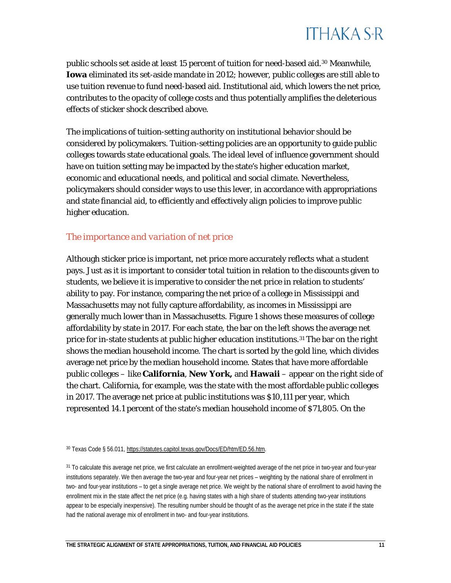public schools set aside at least 15 percent of tuition for need-based aid.[30](#page-11-0) Meanwhile, **Iowa** eliminated its set-aside mandate in 2012; however, public colleges are still able to use tuition revenue to fund need-based aid. Institutional aid, which lowers the net price, contributes to the opacity of college costs and thus potentially amplifies the deleterious effects of sticker shock described above.

The implications of tuition-setting authority on institutional behavior should be considered by policymakers. Tuition-setting policies are an opportunity to guide public colleges towards state educational goals. The ideal level of influence government should have on tuition setting may be impacted by the state's higher education market, economic and educational needs, and political and social climate. Nevertheless, policymakers should consider ways to use this lever, in accordance with appropriations and state financial aid, to efficiently and effectively align policies to improve public higher education.

#### *The importance and variation of net price*

Although sticker price is important, net price more accurately reflects what a student pays. Just as it is important to consider total tuition in relation to the discounts given to students, we believe it is imperative to consider the net price in relation to students' ability to pay. For instance, comparing the net price of a college in Mississippi and Massachusetts may not fully capture affordability, as incomes in Mississippi are generally much lower than in Massachusetts. Figure 1 shows these measures of college affordability by state in 2017. For each state, the bar on the left shows the average net price for in-state students at public higher education institutions.<sup>[31](#page-11-1)</sup> The bar on the right shows the median household income. The chart is sorted by the gold line, which divides average net price by the median household income. States that have more affordable public colleges – like **California**, **New York,** and **Hawaii** – appear on the right side of the chart. California, for example, was the state with the most affordable public colleges in 2017. The average net price at public institutions was \$10,111 per year, which represented 14.1 percent of the state's median household income of \$71,805. On the

<span id="page-11-0"></span><sup>30</sup> Texas Code § 56.011[, https://statutes.capitol.texas.gov/Docs/ED/htm/ED.56.htm.](https://statutes.capitol.texas.gov/Docs/ED/htm/ED.56.htm)

<span id="page-11-1"></span><sup>31</sup> To calculate this average net price, we first calculate an enrollment-weighted average of the net price in two-year and four-year institutions separately. We then average the two-year and four-year net prices – weighting by the national share of enrollment in two- and four-year institutions – to get a single average net price. We weight by the national share of enrollment to avoid having the enrollment mix in the state affect the net price (e.g. having states with a high share of students attending two-year institutions appear to be especially inexpensive). The resulting number should be thought of as the average net price in the state if the state had the national average mix of enrollment in two- and four-year institutions.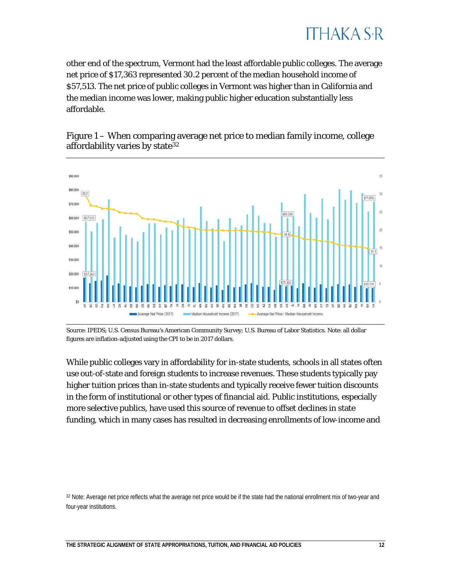#### ITHAKA S+R

other end of the spectrum, Vermont had the least affordable public colleges. The average net price of \$17,363 represented 30.2 percent of the median household income of \$57,513. The net price of public colleges in Vermont was higher than in California and the median income was lower, making public higher education substantially less affordable.



Figure 1 – When comparing average net price to median family income, college affordability varies by state<sup>[32](#page-12-0)</sup>

Source: IPEDS; U.S. Census Bureau's American Community Survey; U.S. Bureau of Labor Statistics. Note: all dollar figures are inflation-adjusted using the CPI to be in 2017 dollars.

While public colleges vary in affordability for in-state students, schools in all states often use out-of-state and foreign students to increase revenues. These students typically pay higher tuition prices than in-state students and typically receive fewer tuition discounts in the form of institutional or other types of financial aid. Public institutions, especially more selective publics, have used this source of revenue to offset declines in state funding, which in many cases has resulted in decreasing enrollments of low-income and

<span id="page-12-0"></span>32 Note: Average net price reflects what the average net price would be if the state had the national enrollment mix of two-year and four-year institutions.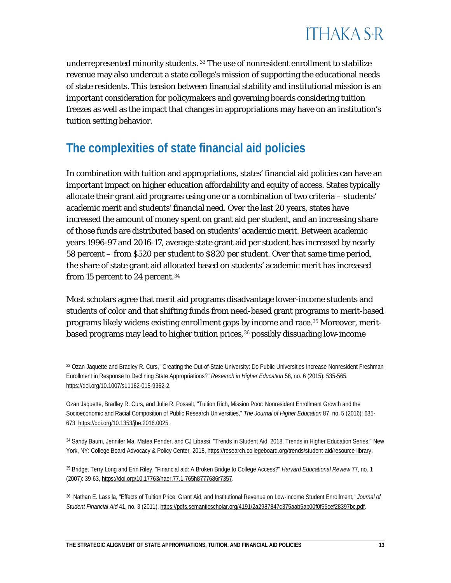

underrepresented minority students. [33](#page-13-0) The use of nonresident enrollment to stabilize revenue may also undercut a state college's mission of supporting the educational needs of state residents. This tension between financial stability and institutional mission is an important consideration for policymakers and governing boards considering tuition freezes as well as the impact that changes in appropriations may have on an institution's tuition setting behavior.

#### **The complexities of state financial aid policies**

In combination with tuition and appropriations, states' financial aid policies can have an important impact on higher education affordability and equity of access. States typically allocate their grant aid programs using one or a combination of two criteria – students' academic merit and students' financial need. Over the last 20 years, states have increased the amount of money spent on grant aid per student, and an increasing share of those funds are distributed based on students' academic merit. Between academic years 1996-97 and 2016-17, average state grant aid per student has increased by nearly 58 percent – from \$520 per student to \$820 per student. Over that same time period, the share of state grant aid allocated based on students' academic merit has increased from 15 percent to 24 percent.<sup>[34](#page-13-1)</sup>

Most scholars agree that merit aid programs disadvantage lower-income students and students of color and that shifting funds from need-based grant programs to merit-based programs likely widens existing enrollment gaps by income and race[.35](#page-13-2) Moreover, merit-based programs may lead to higher tuition prices,<sup>[36](#page-13-3)</sup> possibly dissuading low-income

<span id="page-13-0"></span><sup>33</sup> Ozan Jaquette and Bradley R. Curs, "Creating the Out-of-State University: Do Public Universities Increase Nonresident Freshman Enrollment in Response to Declining State Appropriations?" *Research in Higher Education* 56, no. 6 (2015): 535-565, [https://doi.org/10.1007/s11162-015-9362-2.](https://doi.org/10.1007/s11162-015-9362-2)

Ozan Jaquette, Bradley R. Curs, and Julie R. Posselt, "Tuition Rich, Mission Poor: Nonresident Enrollment Growth and the Socioeconomic and Racial Composition of Public Research Universities," *The Journal of Higher Education* 87, no. 5 (2016): 635- 673[, https://doi.org/10.1353/jhe.2016.0025.](https://doi.org/10.1353/jhe.2016.0025)

<span id="page-13-1"></span><sup>34</sup> Sandy Baum, Jennifer Ma, Matea Pender, and CJ Libassi. "Trends in Student Aid, 2018. Trends in Higher Education Series," New York, NY: College Board Advocacy & Policy Center*,* 2018, [https://research.collegeboard.org/trends/student-aid/resource-library.](https://research.collegeboard.org/trends/student-aid/resource-library)

<span id="page-13-2"></span><sup>35</sup> Bridget Terry Long and Erin Riley, "Financial aid: A Broken Bridge to College Access?" *Harvard Educational Review* 77, no. 1 (2007): 39-63[, https://doi.org/10.17763/haer.77.1.765h8777686r7357.](https://doi.org/10.17763/haer.77.1.765h8777686r7357)

<span id="page-13-3"></span><sup>36</sup> Nathan E. Lassila, "Effects of Tuition Price, Grant Aid, and Institutional Revenue on Low-Income Student Enrollment," *Journal of Student Financial Aid* 41, no. 3 (2011), [https://pdfs.semanticscholar.org/4191/2a2987847c375aab5ab00f0f55cef28397bc.pdf.](https://pdfs.semanticscholar.org/4191/2a2987847c375aab5ab00f0f55cef28397bc.pdf)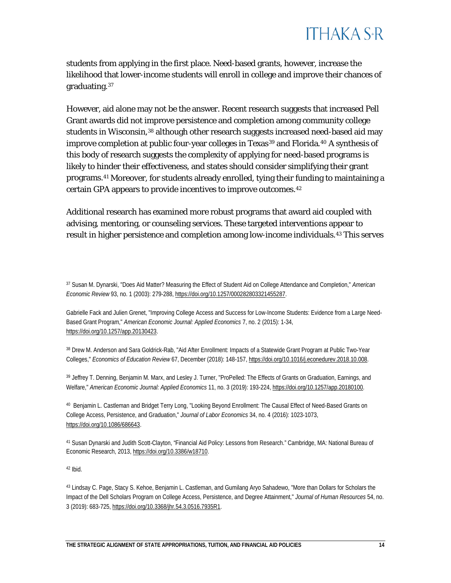students from applying in the first place. Need-based grants, however, increase the likelihood that lower-income students will enroll in college and improve their chances of graduating[.37](#page-14-0)

However, aid alone may not be the answer. Recent research suggests that increased Pell Grant awards did not improve persistence and completion among community college students in Wisconsin,[38](#page-14-1) although other research suggests increased need-based aid may improve completion at public four-year colleges in Texas<sup>[39](#page-14-2)</sup> and Florida.<sup>[40](#page-14-3)</sup> A synthesis of this body of research suggests the complexity of applying for need-based programs is likely to hinder their effectiveness, and states should consider simplifying their grant programs.[41](#page-14-4) Moreover, for students already enrolled, tying their funding to maintaining a certain GPA appears to provide incentives to improve outcomes.[42](#page-14-5)

Additional research has examined more robust programs that award aid coupled with advising, mentoring, or counseling services. These targeted interventions appear to result in higher persistence and completion among low-income individuals.[43](#page-14-6) This serves

<span id="page-14-0"></span><sup>37</sup> Susan M. Dynarski, "Does Aid Matter? Measuring the Effect of Student Aid on College Attendance and Completion," *American Economic Review* 93, no. 1 (2003): 279-288[, https://doi.org/10.1257/000282803321455287.](https://doi.org/10.1257/000282803321455287)

Gabrielle Fack and Julien Grenet, "Improving College Access and Success for Low-Income Students: Evidence from a Large Need-Based Grant Program," *American Economic Journal: Applied Economics* 7, no. 2 (2015): 1-34, [https://doi.org/10.1257/app.20130423.](https://doi.org/10.1257/app.20130423)

<span id="page-14-1"></span><sup>38</sup> Drew M. Anderson and Sara Goldrick-Rab, "Aid After Enrollment: Impacts of a Statewide Grant Program at Public Two-Year Colleges," *Economics of Education Review* 67, December (2018): 148-157, [https://doi.org/10.1016/j.econedurev.2018.10.008.](https://doi.org/10.1016/j.econedurev.2018.10.008)

<span id="page-14-2"></span><sup>39</sup> Jeffrey T. Denning, Benjamin M. Marx, and Lesley J. Turner, "ProPelled: The Effects of Grants on Graduation, Earnings, and Welfare," *American Economic Journal: Applied Economics* 11, no. 3 (2019): 193-224[, https://doi.org/10.1257/app.20180100.](https://doi.org/10.1257/app.20180100)

<span id="page-14-3"></span><sup>40</sup> Benjamin L. Castleman and Bridget Terry Long, "Looking Beyond Enrollment: The Causal Effect of Need-Based Grants on College Access, Persistence, and Graduation," *Journal of Labor Economics* 34, no. 4 (2016): 1023-1073, [https://doi.org/10.1086/686643.](https://doi.org/10.1086/686643)

<span id="page-14-4"></span><sup>41</sup> Susan Dynarski and Judith Scott-Clayton, "Financial Aid Policy: Lessons from Research." Cambridge, MA: National Bureau of Economic Research, 2013[, https://doi.org/10.3386/w18710.](https://doi.org/10.3386/w18710)

<span id="page-14-5"></span><sup>42</sup> Ibid.

<span id="page-14-6"></span><sup>43</sup> Lindsay C. Page, Stacy S. Kehoe, Benjamin L. Castleman, and Gumilang Aryo Sahadewo, "More than Dollars for Scholars the Impact of the Dell Scholars Program on College Access, Persistence, and Degree Attainment," *Journal of Human Resources* 54, no. 3 (2019): 683-725, [https://doi.org/10.3368/jhr.54.3.0516.7935R1.](https://doi.org/10.3368/jhr.54.3.0516.7935R1)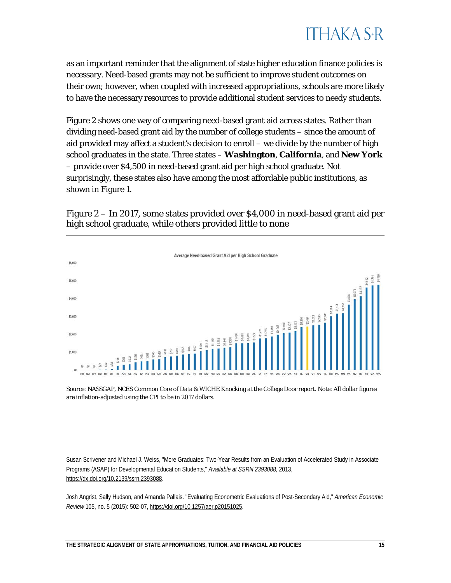

as an important reminder that the alignment of state higher education finance policies is necessary. Need-based grants may not be sufficient to improve student outcomes on their own; however, when coupled with increased appropriations, schools are more likely to have the necessary resources to provide additional student services to needy students.

Figure 2 shows one way of comparing need-based grant aid across states. Rather than dividing need-based grant aid by the number of college students – since the amount of aid provided may affect a student's decision to enroll – we divide by the number of high school graduates in the state. Three states – **Washington**, **California**, and **New York** – provide over \$4,500 in need-based grant aid per high school graduate. Not surprisingly, these states also have among the most affordable public institutions, as shown in Figure 1.

Figure 2 – In 2017, some states provided over \$4,000 in need-based grant aid per high school graduate, while others provided little to none



Source: NASSGAP, NCES Common Core of Data & WICHE Knocking at the College Door report. Note: All dollar figures are inflation-adjusted using the CPI to be in 2017 dollars.

Susan Scrivener and Michael J. Weiss, "More Graduates: Two-Year Results from an Evaluation of Accelerated Study in Associate Programs (ASAP) for Developmental Education Students," *Available at SSRN 2393088*, 2013, [https://dx.doi.org/10.2139/ssrn.2393088.](https://dx.doi.org/10.2139/ssrn.2393088)

Josh Angrist, Sally Hudson, and Amanda Pallais. "Evaluating Econometric Evaluations of Post-Secondary Aid," *American Economic Review* 105, no. 5 (2015): 502-07[, https://doi.org/10.1257/aer.p20151025.](https://doi.org/10.1257/aer.p20151025)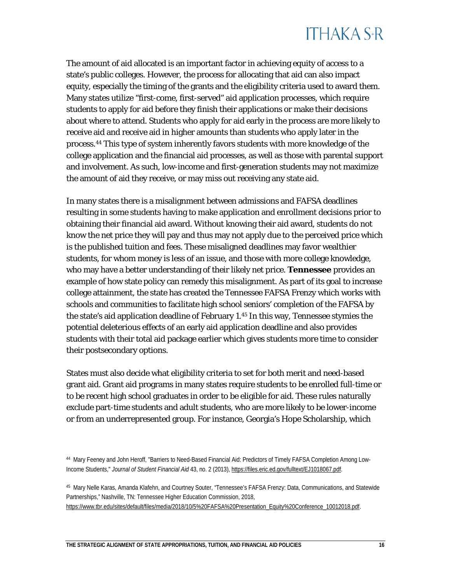

The amount of aid allocated is an important factor in achieving equity of access to a state's public colleges. However, the process for allocating that aid can also impact equity, especially the timing of the grants and the eligibility criteria used to award them. Many states utilize "first-come, first-served" aid application processes, which require students to apply for aid before they finish their applications or make their decisions about where to attend. Students who apply for aid early in the process are more likely to receive aid and receive aid in higher amounts than students who apply later in the process.[44](#page-16-0) This type of system inherently favors students with more knowledge of the college application and the financial aid processes, as well as those with parental support and involvement. As such, low-income and first-generation students may not maximize the amount of aid they receive, or may miss out receiving any state aid.

In many states there is a misalignment between admissions and FAFSA deadlines resulting in some students having to make application and enrollment decisions prior to obtaining their financial aid award. Without knowing their aid award, students do not know the net price they will pay and thus may not apply due to the perceived price which is the published tuition and fees. These misaligned deadlines may favor wealthier students, for whom money is less of an issue, and those with more college knowledge, who may have a better understanding of their likely net price. **Tennessee** provides an example of how state policy can remedy this misalignment. As part of its goal to increase college attainment, the state has created the Tennessee FAFSA Frenzy which works with schools and communities to facilitate high school seniors' completion of the FAFSA by the state's aid application deadline of February 1.[45](#page-16-1) In this way, Tennessee stymies the potential deleterious effects of an early aid application deadline and also provides students with their total aid package earlier which gives students more time to consider their postsecondary options.

States must also decide what eligibility criteria to set for both merit and need-based grant aid. Grant aid programs in many states require students to be enrolled full-time or to be recent high school graduates in order to be eligible for aid. These rules naturally exclude part-time students and adult students, who are more likely to be lower-income or from an underrepresented group. For instance, Georgia's Hope Scholarship, which

<span id="page-16-0"></span><sup>44</sup> Mary Feeney and John Heroff, "Barriers to Need-Based Financial Aid: Predictors of Timely FAFSA Completion Among Low-Income Students," *Journal of Student Financial Aid* 43, no. 2 (2013)[, https://files.eric.ed.gov/fulltext/EJ1018067.pdf.](https://files.eric.ed.gov/fulltext/EJ1018067.pdf)

<span id="page-16-1"></span><sup>45</sup> Mary Nelle Karas, Amanda Klafehn, and Courtney Souter, "Tennessee's FAFSA Frenzy: Data, Communications, and Statewide Partnerships," Nashville, TN: Tennessee Higher Education Commission, 2018, [https://www.tbr.edu/sites/default/files/media/2018/10/5%20FAFSA%20Presentation\\_Equity%20Conference\\_10012018.pdf.](https://www.tbr.edu/sites/default/files/media/2018/10/5%20FAFSA%20Presentation_Equity%20Conference_10012018.pdf)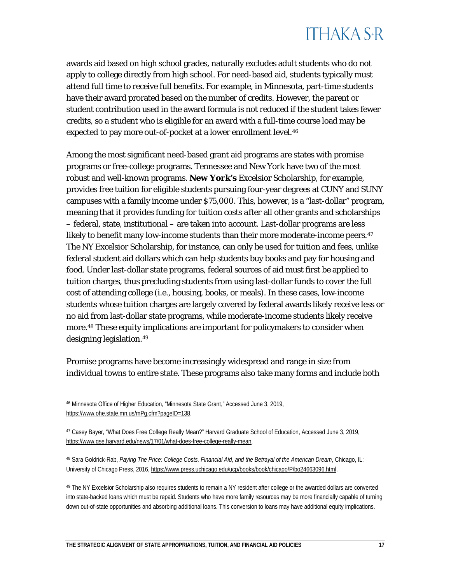awards aid based on high school grades, naturally excludes adult students who do not apply to college directly from high school. For need-based aid, students typically must attend full time to receive full benefits. For example, in Minnesota, part-time students have their award prorated based on the number of credits. However, the parent or student contribution used in the award formula is not reduced if the student takes fewer credits, so a student who is eligible for an award with a full-time course load may be expected to pay more out-of-pocket at a lower enrollment level.<sup>[46](#page-17-0)</sup>

Among the most significant need-based grant aid programs are states with promise programs or free-college programs. Tennessee and New York have two of the most robust and well-known programs. **New York's** Excelsior Scholarship, for example, provides free tuition for eligible students pursuing four-year degrees at CUNY and SUNY campuses with a family income under \$75,000. This, however, is a "last-dollar" program, meaning that it provides funding for tuition costs *after* all other grants and scholarships – federal, state, institutional – are taken into account. Last-dollar programs are less likely to benefit many low-income students than their more moderate-income peers.  $47$ The NY Excelsior Scholarship, for instance, can only be used for tuition and fees, unlike federal student aid dollars which can help students buy books and pay for housing and food. Under last-dollar state programs, federal sources of aid must first be applied to tuition charges, thus precluding students from using last-dollar funds to cover the full cost of attending college (i.e., housing, books, or meals). In these cases, low-income students whose tuition charges are largely covered by federal awards likely receive less or no aid from last-dollar state programs, while moderate-income students likely receive more.[48](#page-17-2) These equity implications are important for policymakers to consider when designing legislation.<sup>[49](#page-17-3)</sup>

Promise programs have become increasingly widespread and range in size from individual towns to entire state. These programs also take many forms and include both

<span id="page-17-1"></span><sup>47</sup> Casey Bayer, "What Does Free College Really Mean?" Harvard Graduate School of Education, Accessed June 3, 2019, [https://www.gse.harvard.edu/news/17/01/what-does-free-college-really-mean.](https://www.gse.harvard.edu/news/17/01/what-does-free-college-really-mean)

<span id="page-17-2"></span><sup>48</sup> Sara Goldrick-Rab, *Paying The Price: College Costs, Financial Aid, and the Betrayal of the American Dream*, Chicago, IL: University of Chicago Press, 2016[, https://www.press.uchicago.edu/ucp/books/book/chicago/P/bo24663096.html.](https://www.press.uchicago.edu/ucp/books/book/chicago/P/bo24663096.html)

<span id="page-17-3"></span><sup>49</sup> The NY Excelsior Scholarship also requires students to remain a NY resident after college or the awarded dollars are converted into state-backed loans which must be repaid. Students who have more family resources may be more financially capable of turning down out-of-state opportunities and absorbing additional loans. This conversion to loans may have additional equity implications.

<span id="page-17-0"></span><sup>46</sup> Minnesota Office of Higher Education, "Minnesota State Grant," Accessed June 3, 2019, [https://www.ohe.state.mn.us/mPg.cfm?pageID=138.](https://www.ohe.state.mn.us/mPg.cfm?pageID=138)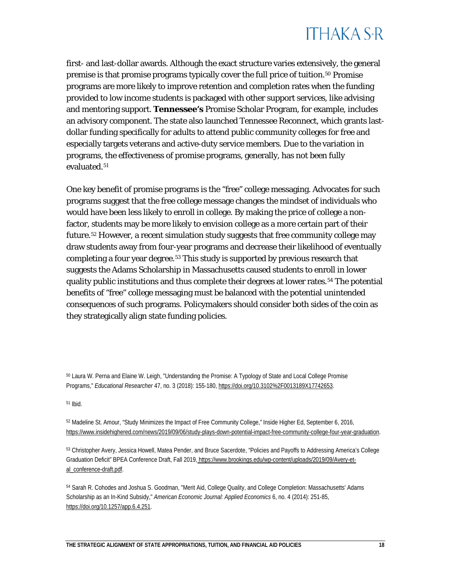

first- and last-dollar awards. Although the exact structure varies extensively, the general premise is that promise programs typically cover the full price of tuition.[50](#page-18-0) Promise programs are more likely to improve retention and completion rates when the funding provided to low income students is packaged with other support services, like advising and mentoring support. **Tennessee's** Promise Scholar Program, for example, includes an advisory component. The state also launched Tennessee Reconnect, which grants lastdollar funding specifically for adults to attend public community colleges for free and especially targets veterans and active-duty service members. Due to the variation in programs, the effectiveness of promise programs, generally, has not been fully evaluated.<sup>[51](#page-18-1)</sup>

One key benefit of promise programs is the "free" college messaging. Advocates for such programs suggest that the free college message changes the mindset of individuals who would have been less likely to enroll in college. By making the price of college a nonfactor, students may be more likely to envision college as a more certain part of their future.[52](#page-18-2) However, a recent simulation study suggests that free community college may draw students away from four-year programs and decrease their likelihood of eventually completing a four year degree.<sup>[53](#page-18-3)</sup> This study is supported by previous research that suggests the Adams Scholarship in Massachusetts caused students to enroll in lower quality public institutions and thus complete their degrees at lower rates.<sup>[54](#page-18-4)</sup> The potential benefits of "free" college messaging must be balanced with the potential unintended consequences of such programs. Policymakers should consider both sides of the coin as they strategically align state funding policies.

<span id="page-18-0"></span><sup>50</sup> Laura W. Perna and Elaine W. Leigh, "Understanding the Promise: A Typology of State and Local College Promise Programs," *Educational Researcher* 47, no. 3 (2018): 155-180, [https://doi.org/10.3102%2F0013189X17742653.](https://doi.org/10.3102%2F0013189X17742653)

<span id="page-18-1"></span><sup>51</sup> Ibid.

<span id="page-18-2"></span><sup>52</sup> Madeline St. Amour, "Study Minimizes the Impact of Free Community College," Inside Higher Ed, September 6, 2016, [https://www.insidehighered.com/news/2019/09/06/study-plays-down-potential-impact-free-community-college-four-year-graduation.](https://www.insidehighered.com/news/2019/09/06/study-plays-down-potential-impact-free-community-college-four-year-graduation)

<span id="page-18-3"></span><sup>53</sup> Christopher Avery, Jessica Howell, Matea Pender, and Bruce Sacerdote, "Policies and Payoffs to Addressing America's College Graduation Deficit" BPEA Conference Draft, Fall 2019, [https://www.brookings.edu/wp-content/uploads/2019/09/Avery-et](https://www.brookings.edu/wp-content/uploads/2019/09/Avery-et-al_conference-draft.pdf)[al\\_conference-draft.pdf.](https://www.brookings.edu/wp-content/uploads/2019/09/Avery-et-al_conference-draft.pdf)

<span id="page-18-4"></span><sup>54</sup> Sarah R. Cohodes and Joshua S. Goodman, "Merit Aid, College Quality, and College Completion: Massachusetts' Adams Scholarship as an In-Kind Subsidy," *American Economic Journal: Applied Economics* 6, no. 4 (2014): 251-85, [https://doi.org/10.1257/app.6.4.251.](https://doi.org/10.1257/app.6.4.251)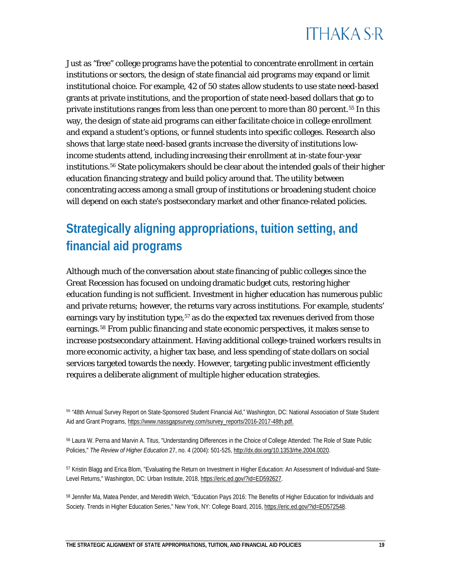Just as "free" college programs have the potential to concentrate enrollment in certain institutions or sectors, the design of state financial aid programs may expand or limit institutional choice. For example, 42 of 50 states allow students to use state need-based grants at private institutions, and the proportion of state need-based dollars that go to private institutions ranges from less than one percent to more than 80 percent.<sup>[55](#page-19-0)</sup> In this way, the design of state aid programs can either facilitate choice in college enrollment and expand a student's options, or funnel students into specific colleges. Research also shows that large state need-based grants increase the diversity of institutions lowincome students attend, including increasing their enrollment at in-state four-year institutions.[56](#page-19-1) State policymakers should be clear about the intended goals of their higher education financing strategy and build policy around that. The utility between concentrating access among a small group of institutions or broadening student choice will depend on each state's postsecondary market and other finance-related policies.

#### **Strategically aligning appropriations, tuition setting, and financial aid programs**

Although much of the conversation about state financing of public colleges since the Great Recession has focused on undoing dramatic budget cuts, restoring higher education funding is not sufficient. Investment in higher education has numerous public and private returns; however, the returns vary across institutions. For example, students' earnings vary by institution type,  $57$  as do the expected tax revenues derived from those earnings.[58](#page-19-3) From public financing and state economic perspectives, it makes sense to increase postsecondary attainment. Having additional college-trained workers results in more economic activity, a higher tax base, and less spending of state dollars on social services targeted towards the needy. However, targeting public investment efficiently requires a deliberate alignment of multiple higher education strategies.

<span id="page-19-0"></span><sup>55</sup> "48th Annual Survey Report on State-Sponsored Student Financial Aid," Washington, DC: National Association of State Student Aid and Grant Programs[, https://www.nassgapsurvey.com/survey\\_reports/2016-2017-48th.pdf.](https://www.nassgapsurvey.com/survey_reports/2016-2017-48th.pdf)

<span id="page-19-1"></span><sup>56</sup> Laura W. Perna and Marvin A. Titus, "Understanding Differences in the Choice of College Attended: The Role of State Public Policies," *The Review of Higher Education* 27, no. 4 (2004): 501-525[, http://dx.doi.org/10.1353/rhe.2004.0020.](http://dx.doi.org/10.1353/rhe.2004.0020)

<span id="page-19-2"></span>57 Kristin Blagg and Erica Blom, "Evaluating the Return on Investment in Higher Education: An Assessment of Individual-and State-Level Returns," Washington, DC: Urban Institute, 2018[, https://eric.ed.gov/?id=ED592627.](https://eric.ed.gov/?id=ED592627)

<span id="page-19-3"></span><sup>58</sup> Jennifer Ma, Matea Pender, and Meredith Welch, "Education Pays 2016: The Benefits of Higher Education for Individuals and Society. Trends in Higher Education Series," New York, NY: College Board, 2016[, https://eric.ed.gov/?id=ED572548.](https://eric.ed.gov/?id=ED572548)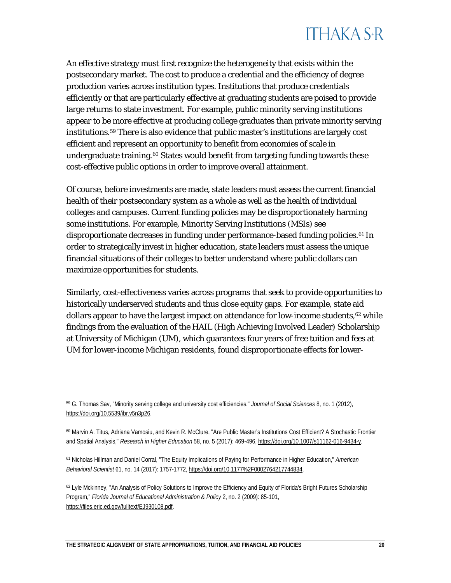An effective strategy must first recognize the heterogeneity that exists within the postsecondary market. The cost to produce a credential and the efficiency of degree production varies across institution types. Institutions that produce credentials efficiently or that are particularly effective at graduating students are poised to provide large returns to state investment. For example, public minority serving institutions appear to be more effective at producing college graduates than private minority serving institutions.[59](#page-20-0) There is also evidence that public master's institutions are largely cost efficient and represent an opportunity to benefit from economies of scale in undergraduate training.<sup>[60](#page-20-1)</sup> States would benefit from targeting funding towards these cost-effective public options in order to improve overall attainment.

Of course, before investments are made, state leaders must assess the current financial health of their postsecondary system as a whole as well as the health of individual colleges and campuses. Current funding policies may be disproportionately harming some institutions. For example, Minority Serving Institutions (MSIs) see disproportionate decreases in funding under performance-based funding policies.<sup>[61](#page-20-2)</sup> In order to strategically invest in higher education, state leaders must assess the unique financial situations of their colleges to better understand where public dollars can maximize opportunities for students.

Similarly, cost-effectiveness varies across programs that seek to provide opportunities to historically underserved students and thus close equity gaps. For example, state aid dollars appear to have the largest impact on attendance for low-income students, [62](#page-20-3) while findings from the evaluation of the HAIL (High Achieving Involved Leader) Scholarship at University of Michigan (UM), which guarantees four years of free tuition and fees at UM for lower-income Michigan residents, found disproportionate effects for lower-

<span id="page-20-0"></span><sup>59</sup> G. Thomas Sav, "Minority serving college and university cost efficiencies." *Journal of Social Sciences* 8, no. 1 (2012), [https://doi.org/10.5539/ibr.v5n3p26.](https://doi.org/10.5539/ibr.v5n3p26)

<span id="page-20-1"></span><sup>60</sup> Marvin A. Titus, Adriana Vamosiu, and Kevin R. McClure, "Are Public Master's Institutions Cost Efficient? A Stochastic Frontier and Spatial Analysis," *Research in Higher Education* 58, no. 5 (2017): 469-496[, https://doi.org/10.1007/s11162-016-9434-y.](https://doi.org/10.1007/s11162-016-9434-y)

<span id="page-20-2"></span><sup>61</sup> Nicholas Hillman and Daniel Corral, "The Equity Implications of Paying for Performance in Higher Education," *American Behavioral Scientist* 61, no. 14 (2017): 1757-1772[, https://doi.org/10.1177%2F0002764217744834.](https://doi.org/10.1177%2F0002764217744834)

<span id="page-20-3"></span><sup>62</sup> Lyle Mckinney, "An Analysis of Policy Solutions to Improve the Efficiency and Equity of Florida's Bright Futures Scholarship Program," *Florida Journal of Educational Administration & Policy* 2, no. 2 (2009): 85-101, [https://files.eric.ed.gov/fulltext/EJ930108.pdf.](https://files.eric.ed.gov/fulltext/EJ930108.pdf)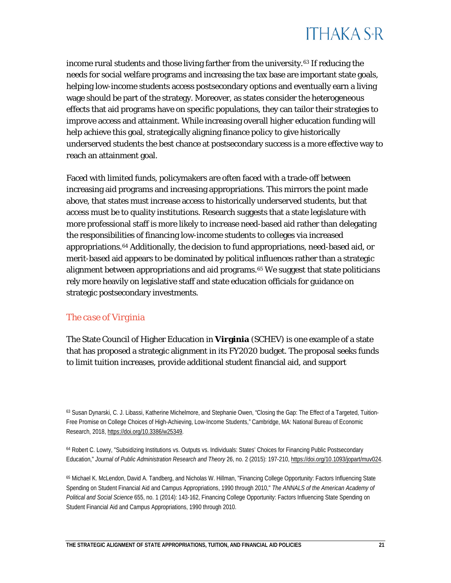income rural students and those living farther from the university.[63](#page-21-0) If reducing the needs for social welfare programs and increasing the tax base are important state goals, helping low-income students access postsecondary options and eventually earn a living wage should be part of the strategy. Moreover, as states consider the heterogeneous effects that aid programs have on specific populations, they can tailor their strategies to improve access and attainment. While increasing overall higher education funding will help achieve this goal, strategically aligning finance policy to give historically underserved students the best chance at postsecondary success is a more effective way to reach an attainment goal.

Faced with limited funds, policymakers are often faced with a trade-off between increasing aid programs and increasing appropriations. This mirrors the point made above, that states must increase access to historically underserved students, but that access must be to quality institutions. Research suggests that a state legislature with more professional staff is more likely to increase need-based aid rather than delegating the responsibilities of financing low-income students to colleges via increased appropriations.[64](#page-21-1) Additionally, the decision to fund appropriations, need-based aid, or merit-based aid appears to be dominated by political influences rather than a strategic alignment between appropriations and aid programs.<sup>[65](#page-21-2)</sup> We suggest that state politicians rely more heavily on legislative staff and state education officials for guidance on strategic postsecondary investments.

#### *The case of Virginia*

The State Council of Higher Education in **Virginia** (SCHEV) is one example of a state that has proposed a strategic alignment in its FY2020 budget. The proposal seeks funds to limit tuition increases, provide additional student financial aid, and support

<sup>63</sup> Susan Dynarski, C. J. Libassi, Katherine Michelmore, and Stephanie Owen, "Closing the Gap: The Effect of a Targeted, Tuition-Free Promise on College Choices of High-Achieving, Low-Income Students," Cambridge, MA: National Bureau of Economic Research, 2018, [https://doi.org/10.3386/w25349.](https://doi.org/10.3386/w25349)

<span id="page-21-0"></span>

<span id="page-21-1"></span><sup>64</sup> Robert C. Lowry, "Subsidizing Institutions vs. Outputs vs. Individuals: States' Choices for Financing Public Postsecondary Education," *Journal of Public Administration Research and Theory* 26, no. 2 (2015): 197-210[, https://doi.org/10.1093/jopart/muv024.](https://doi.org/10.1093/jopart/muv024)

<span id="page-21-2"></span><sup>65</sup> Michael K. McLendon, David A. Tandberg, and Nicholas W. Hillman, "Financing College Opportunity: Factors Influencing State Spending on Student Financial Aid and Campus Appropriations, 1990 through 2010," *The ANNALS of the American Academy of Political and Social Science* 655, no. 1 (2014): 143-162, Financing College Opportunity: Factors Influencing State Spending on Student Financial Aid and Campus Appropriations, 1990 through 2010.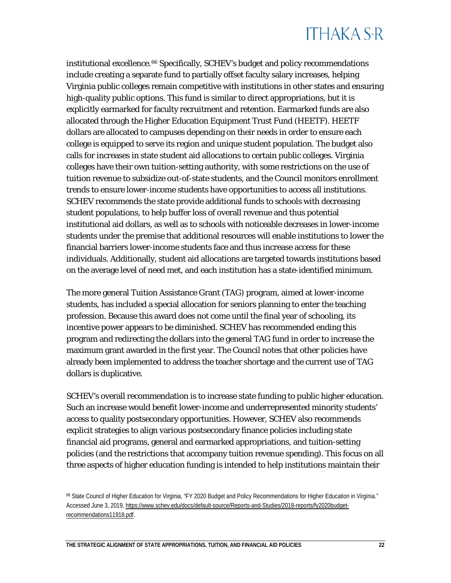institutional excellence.[66](#page-22-0) Specifically, SCHEV's budget and policy recommendations include creating a separate fund to partially offset faculty salary increases, helping Virginia public colleges remain competitive with institutions in other states and ensuring high-quality public options. This fund is similar to direct appropriations, but it is explicitly earmarked for faculty recruitment and retention. Earmarked funds are also allocated through the Higher Education Equipment Trust Fund (HEETF). HEETF dollars are allocated to campuses depending on their needs in order to ensure each college is equipped to serve its region and unique student population. The budget also calls for increases in state student aid allocations to certain public colleges. Virginia colleges have their own tuition-setting authority, with some restrictions on the use of tuition revenue to subsidize out-of-state students, and the Council monitors enrollment trends to ensure lower-income students have opportunities to access all institutions. SCHEV recommends the state provide additional funds to schools with decreasing student populations, to help buffer loss of overall revenue and thus potential institutional aid dollars, as well as to schools with noticeable decreases in lower-income students under the premise that additional resources will enable institutions to lower the financial barriers lower-income students face and thus increase access for these individuals. Additionally, student aid allocations are targeted towards institutions based on the average level of need met, and each institution has a state-identified minimum.

The more general Tuition Assistance Grant (TAG) program, aimed at lower-income students, has included a special allocation for seniors planning to enter the teaching profession. Because this award does not come until the final year of schooling, its incentive power appears to be diminished. SCHEV has recommended ending this program and redirecting the dollars into the general TAG fund in order to increase the maximum grant awarded in the first year. The Council notes that other policies have already been implemented to address the teacher shortage and the current use of TAG dollars is duplicative.

SCHEV's overall recommendation is to increase state funding to public higher education. Such an increase would benefit lower-income and underrepresented minority students' access to quality postsecondary opportunities. However, SCHEV also recommends explicit strategies to align various postsecondary finance policies including state financial aid programs, general and earmarked appropriations, and tuition-setting policies (and the restrictions that accompany tuition revenue spending). This focus on all three aspects of higher education funding is intended to help institutions maintain their

<span id="page-22-0"></span><sup>66</sup> [State](http://www.schev.edu/docs/default-source/Reports-and-Studies/2018-reports/fy2020budget-recommendations11918.pdf) Council of Higher Education for Virginia, "FY 2020 Budget and Policy Recommendations for Higher Education in Virginia." Accessed June 3, 2019, [https://www.schev.edu/docs/default-source/Reports-and-Studies/2018-reports/fy2020budget](https://www.schev.edu/docs/default-source/Reports-and-Studies/2018-reports/fy2020budget-recommendations11918.pdf)[recommendations11918.pdf.](https://www.schev.edu/docs/default-source/Reports-and-Studies/2018-reports/fy2020budget-recommendations11918.pdf)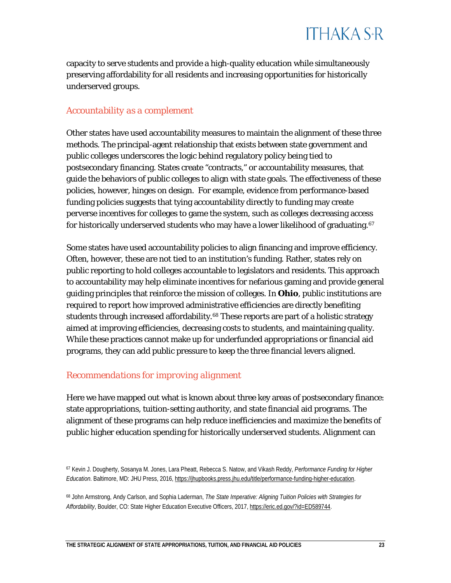capacity to serve students and provide a high-quality education while simultaneously preserving affordability for all residents and increasing opportunities for historically underserved groups.

#### *Accountability as a complement*

Other states have used accountability measures to maintain the alignment of these three methods. The principal-agent relationship that exists between state government and public colleges underscores the logic behind regulatory policy being tied to postsecondary financing. States create "contracts," or accountability measures, that guide the behaviors of public colleges to align with state goals. The effectiveness of these policies, however, hinges on design. For example, evidence from performance-based funding policies suggests that tying accountability directly to funding may create perverse incentives for colleges to game the system, such as colleges decreasing access for historically underserved students who may have a lower likelihood of graduating.<sup>[67](#page-23-0)</sup>

Some states have used accountability policies to align financing and improve efficiency. Often, however, these are not tied to an institution's funding. Rather, states rely on public reporting to hold colleges accountable to legislators and residents. This approach to accountability may help eliminate incentives for nefarious gaming and provide general guiding principles that reinforce the mission of colleges. In **Ohio**, public institutions are required to report how improved administrative efficiencies are directly benefiting students through increased affordability.<sup>[68](#page-23-1)</sup> These reports are part of a holistic strategy aimed at improving efficiencies, decreasing costs to students, and maintaining quality. While these practices cannot make up for underfunded appropriations or financial aid programs, they can add public pressure to keep the three financial levers aligned.

#### *Recommendations for improving alignment*

Here we have mapped out what is known about three key areas of postsecondary finance: state appropriations, tuition-setting authority, and state financial aid programs. The alignment of these programs can help reduce inefficiencies and maximize the benefits of public higher education spending for historically underserved students. Alignment can

<span id="page-23-0"></span><sup>67</sup> Kevin J. Dougherty, Sosanya M. Jones, Lara Pheatt, Rebecca S. Natow, and Vikash Reddy, *Performance Funding for Higher Education*. Baltimore, MD: JHU Press, 2016[, https://jhupbooks.press.jhu.edu/title/performance-funding-higher-education.](https://jhupbooks.press.jhu.edu/title/performance-funding-higher-education)

<span id="page-23-1"></span><sup>68</sup> John Armstrong, Andy Carlson, and Sophia Laderman, *The State Imperative: Aligning Tuition Policies with Strategies for Affordability*, Boulder, CO: State Higher Education Executive Officers, 2017[, https://eric.ed.gov/?id=ED589744.](https://eric.ed.gov/?id=ED589744)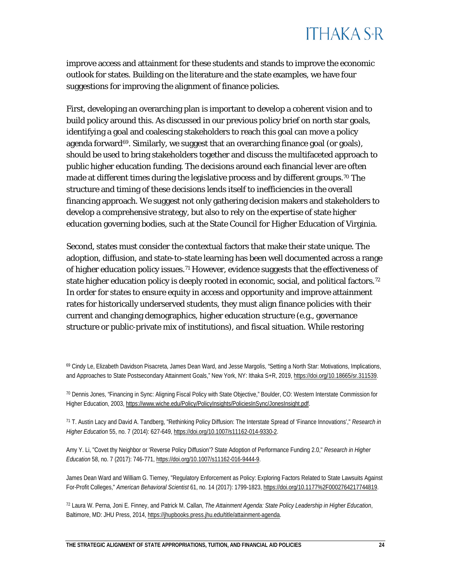improve access and attainment for these students and stands to improve the economic outlook for states. Building on the literature and the state examples, we have four suggestions for improving the alignment of finance policies.

First, developing an overarching plan is important to develop a coherent vision and to build policy around this. As discussed in our previous policy brief on north star goals, identifying a goal and coalescing stakeholders to reach this goal can move a policy agenda forward $69$ . Similarly, we suggest that an overarching finance goal (or goals), should be used to bring stakeholders together and discuss the multifaceted approach to public higher education funding. The decisions around each financial lever are often made at different times during the legislative process and by different groups.<sup>[70](#page-24-1)</sup> The structure and timing of these decisions lends itself to inefficiencies in the overall financing approach. We suggest not only gathering decision makers and stakeholders to develop a comprehensive strategy, but also to rely on the expertise of state higher education governing bodies, such at the State Council for Higher Education of Virginia.

Second, states must consider the contextual factors that make their state unique. The adoption, diffusion, and state-to-state learning has been well documented across a range of higher education policy issues.[71](#page-24-2) However, evidence suggests that the effectiveness of state higher education policy is deeply rooted in economic, social, and political factors.<sup>[72](#page-24-3)</sup> In order for states to ensure equity in access and opportunity and improve attainment rates for historically underserved students, they must align finance policies with their current and changing demographics, higher education structure (e.g., governance structure or public-private mix of institutions), and fiscal situation. While restoring

<span id="page-24-0"></span>

<span id="page-24-2"></span><sup>71</sup> T. Austin Lacy and David A. Tandberg, "Rethinking Policy Diffusion: The Interstate Spread of 'Finance Innovations'," *Research in Higher Education* 55, no. 7 (2014): 627-649[, https://doi.org/10.1007/s11162-014-9330-2.](https://doi.org/10.1007/s11162-014-9330-2)

Amy Y. Li, "Covet thy Neighbor or 'Reverse Policy Diffusion'? State Adoption of Performance Funding 2.0," *Research in Higher Education* 58, no. 7 (2017): 746-771[, https://doi.org/10.1007/s11162-016-9444-9.](https://doi.org/10.1007/s11162-016-9444-9)

James Dean Ward and William G. Tierney, "Regulatory Enforcement as Policy: Exploring Factors Related to State Lawsuits Against For-Profit Colleges," *American Behavioral Scientist* 61, no. 14 (2017): 1799-1823, [https://doi.org/10.1177%2F0002764217744819.](https://doi.org/10.1177%2F0002764217744819)

<span id="page-24-3"></span><sup>72</sup> Laura W. Perna, Joni E. Finney, and Patrick M. Callan, *The Attainment Agenda: State Policy Leadership in Higher Education*, Baltimore, MD: JHU Press, 2014[, https://jhupbooks.press.jhu.edu/title/attainment-agenda.](https://jhupbooks.press.jhu.edu/title/attainment-agenda)

<sup>69</sup> Cindy Le, Elizabeth Davidson Pisacreta, James Dean Ward, and Jesse Margolis, "Setting a North Star: Motivations, Implications, and Approaches to State Postsecondary Attainment Goals," New York, NY: Ithaka S+R, 2019, [https://doi.org/10.18665/sr.311539.](https://doi.org/10.18665/sr.311539)

<span id="page-24-1"></span><sup>70</sup> Dennis Jones, "Financing in Sync: Aligning Fiscal Policy with State Objective," Boulder, CO: Western Interstate Commission for Higher Education, 2003[, https://www.wiche.edu/Policy/PolicyInsights/PoliciesInSync/JonesInsight.pdf.](https://www.wiche.edu/Policy/PolicyInsights/PoliciesInSync/JonesInsight.pdf)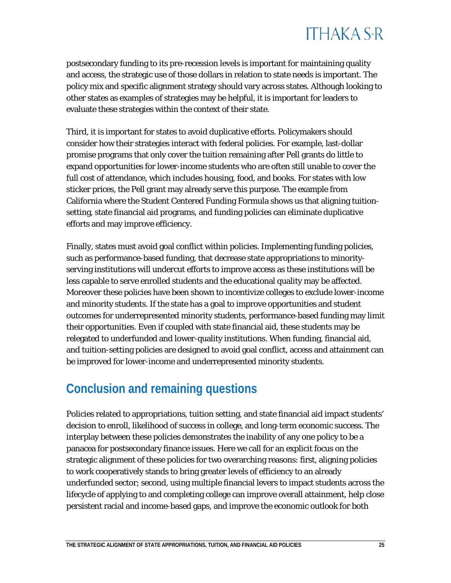postsecondary funding to its pre-recession levels is important for maintaining quality and access, the strategic use of those dollars in relation to state needs is important. The policy mix and specific alignment strategy should vary across states. Although looking to other states as examples of strategies may be helpful, it is important for leaders to evaluate these strategies within the context of their state.

Third, it is important for states to avoid duplicative efforts. Policymakers should consider how their strategies interact with federal policies. For example, last-dollar promise programs that only cover the tuition remaining after Pell grants do little to expand opportunities for lower-income students who are often still unable to cover the full cost of attendance, which includes housing, food, and books. For states with low sticker prices, the Pell grant may already serve this purpose. The example from California where the Student Centered Funding Formula shows us that aligning tuitionsetting, state financial aid programs, and funding policies can eliminate duplicative efforts and may improve efficiency.

Finally, states must avoid goal conflict within policies. Implementing funding policies, such as performance-based funding, that decrease state appropriations to minorityserving institutions will undercut efforts to improve access as these institutions will be less capable to serve enrolled students and the educational quality may be affected. Moreover these policies have been shown to incentivize colleges to exclude lower-income and minority students. If the state has a goal to improve opportunities and student outcomes for underrepresented minority students, performance-based funding may limit their opportunities. Even if coupled with state financial aid, these students may be relegated to underfunded and lower-quality institutions. When funding, financial aid, and tuition-setting policies are designed to avoid goal conflict, access and attainment can be improved for lower-income and underrepresented minority students.

#### **Conclusion and remaining questions**

Policies related to appropriations, tuition setting, and state financial aid impact students' decision to enroll, likelihood of success in college, and long-term economic success. The interplay between these policies demonstrates the inability of any one policy to be a panacea for postsecondary finance issues. Here we call for an explicit focus on the strategic alignment of these policies for two overarching reasons: first, aligning policies to work cooperatively stands to bring greater levels of efficiency to an already underfunded sector; second, using multiple financial levers to impact students across the lifecycle of applying to and completing college can improve overall attainment, help close persistent racial and income-based gaps, and improve the economic outlook for both